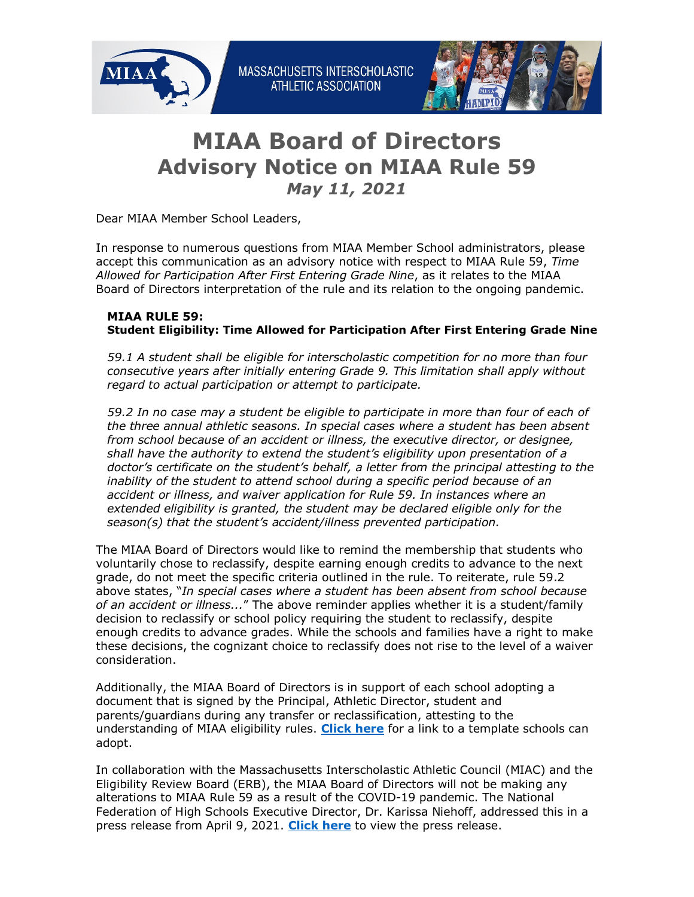

## **MIAA Board of Directors Advisory Notice on MIAA Rule 59**  *May 11, 2021*

Dear MIAA Member School Leaders,

In response to numerous questions from MIAA Member School administrators, please accept this communication as an advisory notice with respect to MIAA Rule 59, *Time Allowed for Participation After First Entering Grade Nine*, as it relates to the MIAA Board of Directors interpretation of the rule and its relation to the ongoing pandemic.

## **MIAA RULE 59: Student Eligibility: Time Allowed for Participation After First Entering Grade Nine**

*59.1 A student shall be eligible for interscholastic competition for no more than four consecutive years after initially entering Grade 9. This limitation shall apply without regard to actual participation or attempt to participate.* 

*59.2 In no case may a student be eligible to participate in more than four of each of the three annual athletic seasons. In special cases where a student has been absent from school because of an accident or illness, the executive director, or designee, shall have the authority to extend the student's eligibility upon presentation of a doctor's certificate on the student's behalf, a letter from the principal attesting to the inability of the student to attend school during a specific period because of an accident or illness, and waiver application for Rule 59. In instances where an extended eligibility is granted, the student may be declared eligible only for the season(s) that the student's accident/illness prevented participation.*

The MIAA Board of Directors would like to remind the membership that students who voluntarily chose to reclassify, despite earning enough credits to advance to the next grade, do not meet the specific criteria outlined in the rule. To reiterate, rule 59.2 above states, "*In special cases where a student has been absent from school because of an accident or illness...*" The above reminder applies whether it is a student/family decision to reclassify or school policy requiring the student to reclassify, despite enough credits to advance grades. While the schools and families have a right to make these decisions, the cognizant choice to reclassify does not rise to the level of a waiver consideration.

Additionally, the MIAA Board of Directors is in support of each school adopting a document that is signed by the Principal, Athletic Director, student and parents/guardians during any transfer or reclassification, attesting to the understanding of MIAA eligibility rules. **[Click here](http://miaa.net/gen/miaa_generated_bin/documents/basic_module/Form_attesting_to_MIAA_Rules.pdf)** for a link to a template schools can adopt.

In collaboration with the Massachusetts Interscholastic Athletic Council (MIAC) and the Eligibility Review Board (ERB), the MIAA Board of Directors will not be making any alterations to MIAA Rule 59 as a result of the COVID-19 pandemic. The National Federation of High Schools Executive Director, Dr. Karissa Niehoff, addressed this in a press release from April 9, 2021. **[Click here](https://nfhs.org/sports-resource-content/additional-year-of-competition-not-best-option-for-high-school-activities/)** to view the press release.